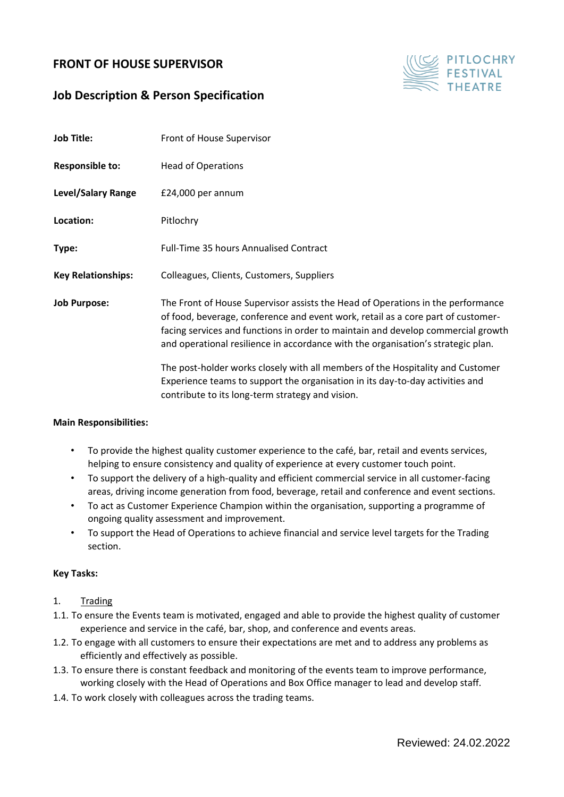# **FRONT OF HOUSE SUPERVISOR**

## **Job Description & Person Specification**



| <b>Job Title:</b>         | Front of House Supervisor                                                                                                                                                                                                                                                                                                                                                                                                     |
|---------------------------|-------------------------------------------------------------------------------------------------------------------------------------------------------------------------------------------------------------------------------------------------------------------------------------------------------------------------------------------------------------------------------------------------------------------------------|
| <b>Responsible to:</b>    | <b>Head of Operations</b>                                                                                                                                                                                                                                                                                                                                                                                                     |
| <b>Level/Salary Range</b> | £24,000 per annum                                                                                                                                                                                                                                                                                                                                                                                                             |
| Location:                 | Pitlochry                                                                                                                                                                                                                                                                                                                                                                                                                     |
| Type:                     | <b>Full-Time 35 hours Annualised Contract</b>                                                                                                                                                                                                                                                                                                                                                                                 |
| <b>Key Relationships:</b> | Colleagues, Clients, Customers, Suppliers                                                                                                                                                                                                                                                                                                                                                                                     |
| <b>Job Purpose:</b>       | The Front of House Supervisor assists the Head of Operations in the performance<br>of food, beverage, conference and event work, retail as a core part of customer-<br>facing services and functions in order to maintain and develop commercial growth<br>and operational resilience in accordance with the organisation's strategic plan.<br>The post-holder works closely with all members of the Hospitality and Customer |
|                           | Experience teams to support the organisation in its day-to-day activities and<br>contribute to its long-term strategy and vision.                                                                                                                                                                                                                                                                                             |

#### **Main Responsibilities:**

- To provide the highest quality customer experience to the café, bar, retail and events services, helping to ensure consistency and quality of experience at every customer touch point.
- To support the delivery of a high-quality and efficient commercial service in all customer-facing areas, driving income generation from food, beverage, retail and conference and event sections.
- To act as Customer Experience Champion within the organisation, supporting a programme of ongoing quality assessment and improvement.
- To support the Head of Operations to achieve financial and service level targets for the Trading section.

#### **Key Tasks:**

### 1. Trading

- 1.1. To ensure the Events team is motivated, engaged and able to provide the highest quality of customer experience and service in the café, bar, shop, and conference and events areas.
- 1.2. To engage with all customers to ensure their expectations are met and to address any problems as efficiently and effectively as possible.
- 1.3. To ensure there is constant feedback and monitoring of the events team to improve performance, working closely with the Head of Operations and Box Office manager to lead and develop staff.
- 1.4. To work closely with colleagues across the trading teams.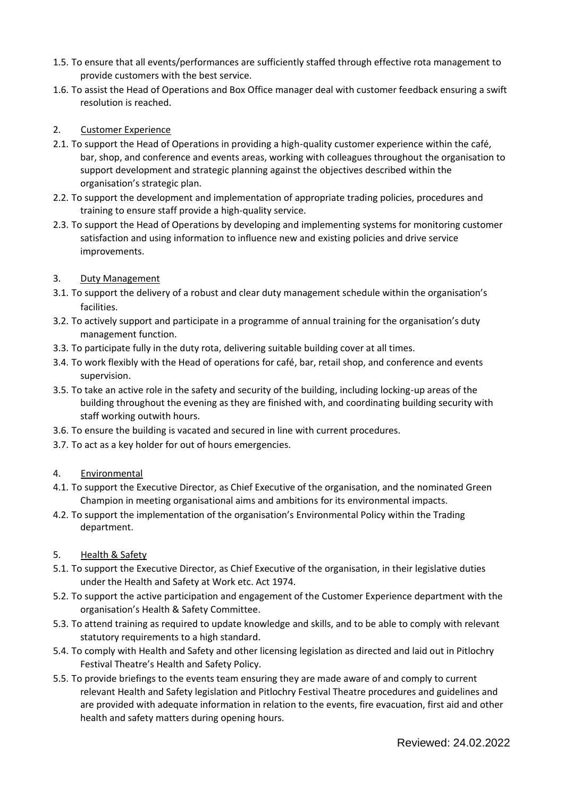- 1.5. To ensure that all events/performances are sufficiently staffed through effective rota management to provide customers with the best service.
- 1.6. To assist the Head of Operations and Box Office manager deal with customer feedback ensuring a swift resolution is reached.

## 2. Customer Experience

- 2.1. To support the Head of Operations in providing a high-quality customer experience within the café, bar, shop, and conference and events areas, working with colleagues throughout the organisation to support development and strategic planning against the objectives described within the organisation's strategic plan.
- 2.2. To support the development and implementation of appropriate trading policies, procedures and training to ensure staff provide a high-quality service.
- 2.3. To support the Head of Operations by developing and implementing systems for monitoring customer satisfaction and using information to influence new and existing policies and drive service improvements.

### 3. Duty Management

- 3.1. To support the delivery of a robust and clear duty management schedule within the organisation's facilities.
- 3.2. To actively support and participate in a programme of annual training for the organisation's duty management function.
- 3.3. To participate fully in the duty rota, delivering suitable building cover at all times.
- 3.4. To work flexibly with the Head of operations for café, bar, retail shop, and conference and events supervision.
- 3.5. To take an active role in the safety and security of the building, including locking-up areas of the building throughout the evening as they are finished with, and coordinating building security with staff working outwith hours.
- 3.6. To ensure the building is vacated and secured in line with current procedures.
- 3.7. To act as a key holder for out of hours emergencies.

#### 4. Environmental

- 4.1. To support the Executive Director, as Chief Executive of the organisation, and the nominated Green Champion in meeting organisational aims and ambitions for its environmental impacts.
- 4.2. To support the implementation of the organisation's Environmental Policy within the Trading department.

#### 5. Health & Safety

- 5.1. To support the Executive Director, as Chief Executive of the organisation, in their legislative duties under the Health and Safety at Work etc. Act 1974.
- 5.2. To support the active participation and engagement of the Customer Experience department with the organisation's Health & Safety Committee.
- 5.3. To attend training as required to update knowledge and skills, and to be able to comply with relevant statutory requirements to a high standard.
- 5.4. To comply with Health and Safety and other licensing legislation as directed and laid out in Pitlochry Festival Theatre's Health and Safety Policy.
- 5.5. To provide briefings to the events team ensuring they are made aware of and comply to current relevant Health and Safety legislation and Pitlochry Festival Theatre procedures and guidelines and are provided with adequate information in relation to the events, fire evacuation, first aid and other health and safety matters during opening hours.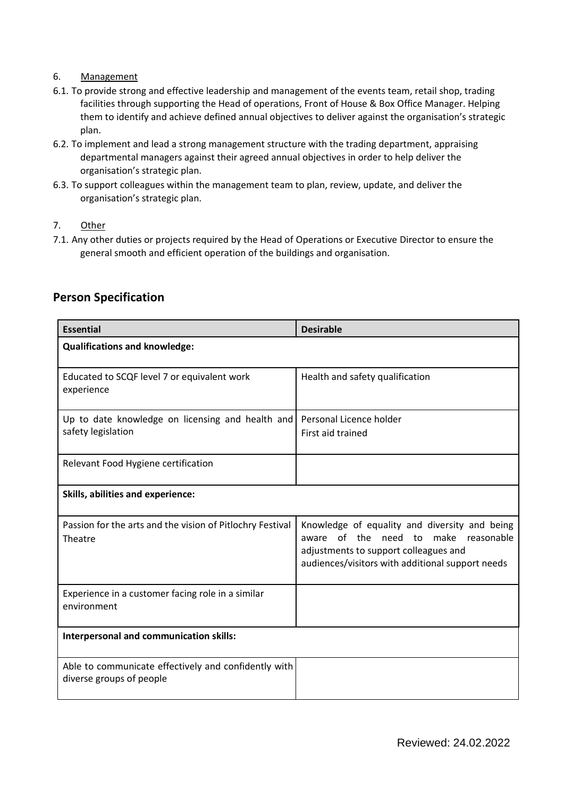## 6. Management

- 6.1. To provide strong and effective leadership and management of the events team, retail shop, trading facilities through supporting the Head of operations, Front of House & Box Office Manager. Helping them to identify and achieve defined annual objectives to deliver against the organisation's strategic plan.
- 6.2. To implement and lead a strong management structure with the trading department, appraising departmental managers against their agreed annual objectives in order to help deliver the organisation's strategic plan.
- 6.3. To support colleagues within the management team to plan, review, update, and deliver the organisation's strategic plan.
- 7. Other
- 7.1. Any other duties or projects required by the Head of Operations or Executive Director to ensure the general smooth and efficient operation of the buildings and organisation.

| <b>Essential</b>                                                                 | <b>Desirable</b>                                                                                                                                                                   |  |  |
|----------------------------------------------------------------------------------|------------------------------------------------------------------------------------------------------------------------------------------------------------------------------------|--|--|
| <b>Qualifications and knowledge:</b>                                             |                                                                                                                                                                                    |  |  |
| Educated to SCQF level 7 or equivalent work<br>experience                        | Health and safety qualification                                                                                                                                                    |  |  |
| Up to date knowledge on licensing and health and<br>safety legislation           | Personal Licence holder<br>First aid trained                                                                                                                                       |  |  |
| Relevant Food Hygiene certification                                              |                                                                                                                                                                                    |  |  |
| Skills, abilities and experience:                                                |                                                                                                                                                                                    |  |  |
| Passion for the arts and the vision of Pitlochry Festival<br>Theatre             | Knowledge of equality and diversity and being<br>aware of the need to make reasonable<br>adjustments to support colleagues and<br>audiences/visitors with additional support needs |  |  |
| Experience in a customer facing role in a similar<br>environment                 |                                                                                                                                                                                    |  |  |
| Interpersonal and communication skills:                                          |                                                                                                                                                                                    |  |  |
| Able to communicate effectively and confidently with<br>diverse groups of people |                                                                                                                                                                                    |  |  |

# **Person Specification**